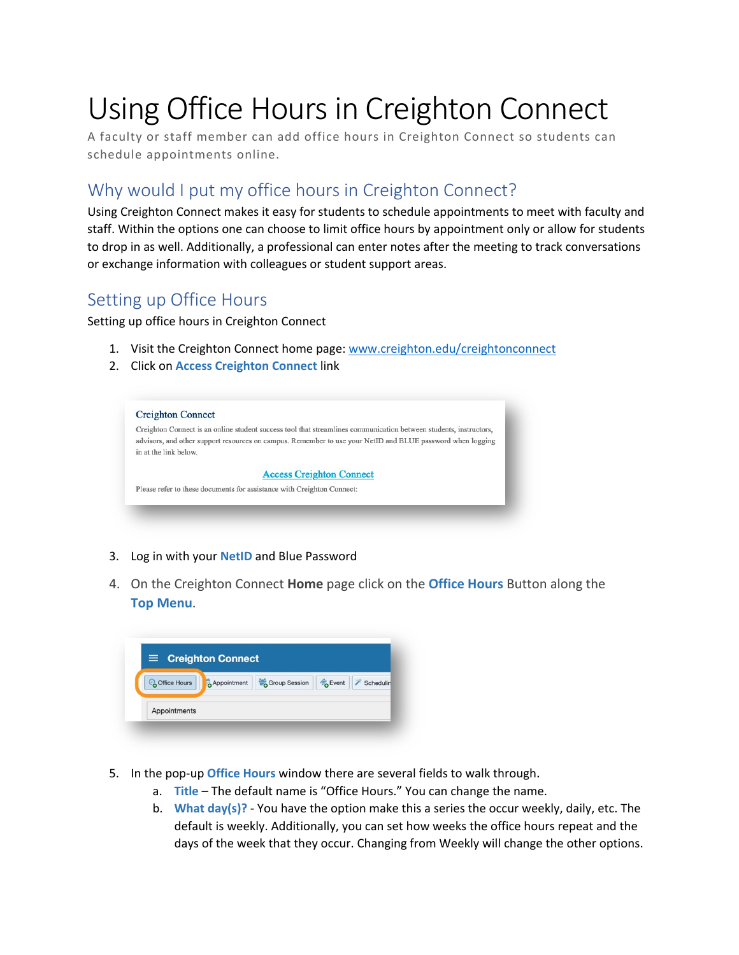# Using Office Hours in Creighton Connect

A faculty or staff member can add office hours in Creighton Connect so students can schedule appointments online.

## Why would I put my office hours in Creighton Connect?

Using Creighton Connect makes it easy for students to schedule appointments to meet with faculty and staff. Within the options one can choose to limit office hours by appointment only or allow for students to drop in as well. Additionally, a professional can enter notes after the meeting to track conversations or exchange information with colleagues or student support areas.

#### Setting up Office Hours

Setting up office hours in Creighton Connect

- 1. Visit the Creighton Connect home page: [www.creighton.edu/creightonconnect](http://www.creighton.edu/creightonconnect)
- 2. Click on **Access Creighton Connect** link

|                       | Creighton Connect is an online student success tool that streamlines communication between students, instructors, |
|-----------------------|-------------------------------------------------------------------------------------------------------------------|
|                       | advisors, and other support resources on campus. Remember to use your NetID and BLUE password when logging        |
| in at the link below. |                                                                                                                   |
|                       | <b>Access Creighton Connect</b>                                                                                   |
|                       | Please refer to these documents for assistance with Creighton Connect:                                            |

- 3. Log in with your **NetID** and Blue Password
- 4. On the Creighton Connect **Home** page click on the **Office Hours** Button along the **Top Menu**.

|               | $\equiv$ Creighton Connect                                  |
|---------------|-------------------------------------------------------------|
| Coffice Hours | Group Session<br><b>B</b> Event<br>Appointment<br>Schedulin |
|               |                                                             |
| Appointments  |                                                             |

- 5. In the pop-up **Office Hours** window there are several fields to walk through.
	- a. **Title** The default name is "Office Hours." You can change the name.
	- b. **What day(s)?** You have the option make this a series the occur weekly, daily, etc. The default is weekly. Additionally, you can set how weeks the office hours repeat and the days of the week that they occur. Changing from Weekly will change the other options.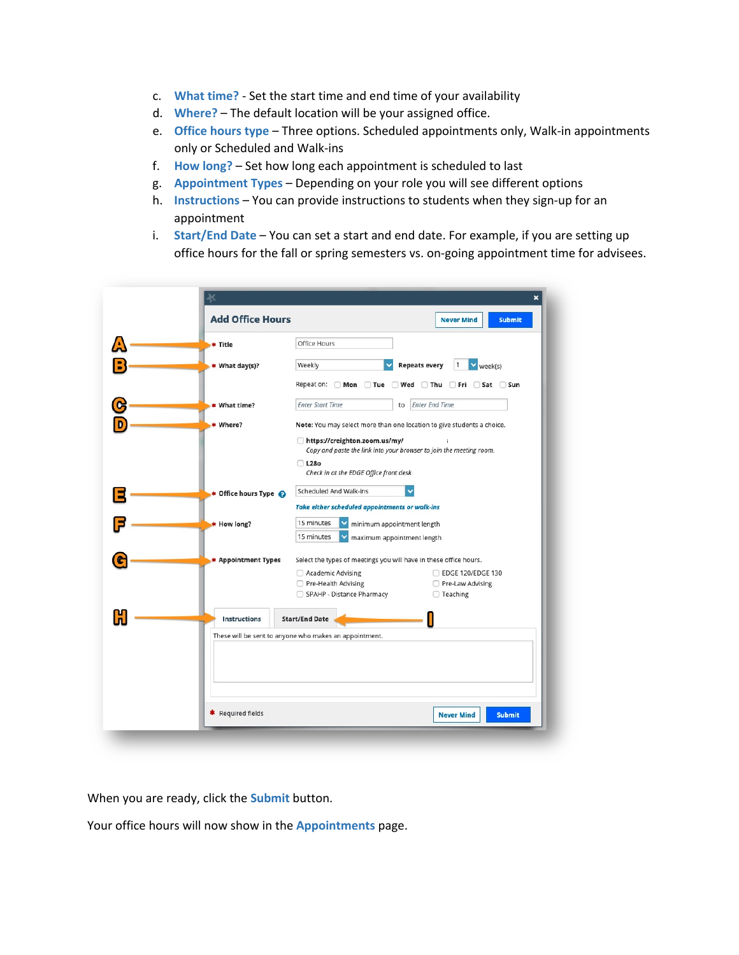- c. **What time?** Set the start time and end time of your availability
- d. **Where?** The default location will be your assigned office.
- e. **Office hours type** Three options. Scheduled appointments only, Walk-in appointments only or Scheduled and Walk-ins
- f. **How long?** Set how long each appointment is scheduled to last
- g. **Appointment Types** Depending on your role you will see different options
- h. **Instructions** You can provide instructions to students when they sign-up for an appointment
- i. **Start/End Date** You can set a start and end date. For example, if you are setting up office hours for the fall or spring semesters vs. on-going appointment time for advisees.

| <b>Add Office Hours</b> | <b>Never Mind</b><br><b>Submit</b>                                                                   |
|-------------------------|------------------------------------------------------------------------------------------------------|
| * Title                 | Office Hours                                                                                         |
| * What day(s)?          | <b>Repeats every</b><br>Weekly<br>week(s)                                                            |
|                         | Repeat on: □ Mon □ Tue □ Wed □ Thu □ Fri □ Sat □ Sun                                                 |
| * What time?            | <b>Enter Start Time</b><br><b>Enter End Time</b><br>to                                               |
| * Where?                | Note: You may select more than one location to give students a choice.                               |
|                         | https://creighton.zoom.us/my/<br>Copy and paste the link into your browser to join the meeting room. |
|                         | $\Box$ L28o                                                                                          |
|                         | Check in at the EDGE Office front desk                                                               |
| ★ Office hours Type @   | Scheduled And Walk-ins                                                                               |
|                         | <b>Take either scheduled appointments or walk-ins</b>                                                |
| * How long?             | 15 minutes<br>minimum appointment length                                                             |
|                         | 15 minutes<br>maximum appointment length                                                             |
| * Appointment Types     | Select the types of meetings you will have in these office hours.                                    |
|                         | <b>EDGE 120/EDGE 130</b><br>Academic Advising                                                        |
|                         | Pre-Health Advising<br>Pre-Law Advising                                                              |
|                         | SPAHP - Distance Pharmacy<br>□ Teaching                                                              |
| <b>Instructions</b>     | <b>Start/End Date</b>                                                                                |
|                         |                                                                                                      |
|                         | These will be sent to anyone who makes an appointment.                                               |

When you are ready, click the **Submit** button.

Your office hours will now show in the **Appointments** page.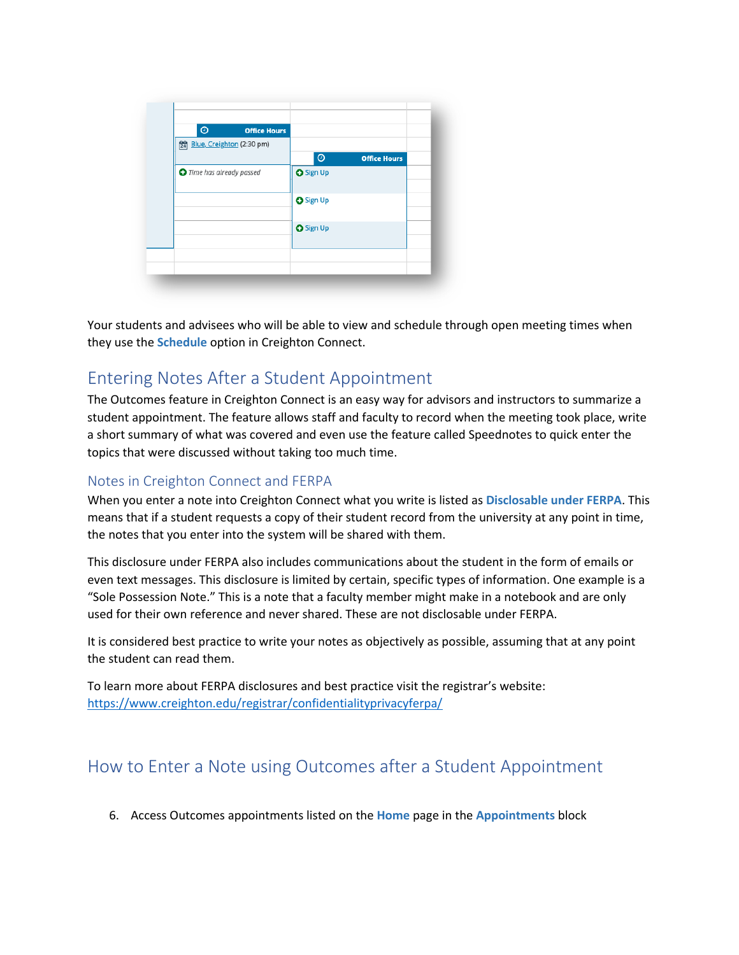| $\odot$                          | <b>Office Hours</b> |                  |                     |
|----------------------------------|---------------------|------------------|---------------------|
| Blue, Creighton (2:30 pm)        |                     |                  |                     |
|                                  |                     | $\odot$          | <b>Office Hours</b> |
| <b>O</b> Time has already passed |                     | <b>O</b> Sign Up |                     |
|                                  |                     | <b>O</b> Sign Up |                     |
|                                  |                     | <b>O</b> Sign Up |                     |
|                                  |                     |                  |                     |

Your students and advisees who will be able to view and schedule through open meeting times when they use the **Schedule** option in Creighton Connect.

#### Entering Notes After a Student Appointment

The Outcomes feature in Creighton Connect is an easy way for advisors and instructors to summarize a student appointment. The feature allows staff and faculty to record when the meeting took place, write a short summary of what was covered and even use the feature called Speednotes to quick enter the topics that were discussed without taking too much time.

#### Notes in Creighton Connect and FERPA

When you enter a note into Creighton Connect what you write is listed as **Disclosable under FERPA**. This means that if a student requests a copy of their student record from the university at any point in time, the notes that you enter into the system will be shared with them.

This disclosure under FERPA also includes communications about the student in the form of emails or even text messages. This disclosure is limited by certain, specific types of information. One example is a "Sole Possession Note." This is a note that a faculty member might make in a notebook and are only used for their own reference and never shared. These are not disclosable under FERPA.

It is considered best practice to write your notes as objectively as possible, assuming that at any point the student can read them.

To learn more about FERPA disclosures and best practice visit the registrar's website: <https://www.creighton.edu/registrar/confidentialityprivacyferpa/>

### How to Enter a Note using Outcomes after a Student Appointment

6. Access Outcomes appointments listed on the **Home** page in the **Appointments** block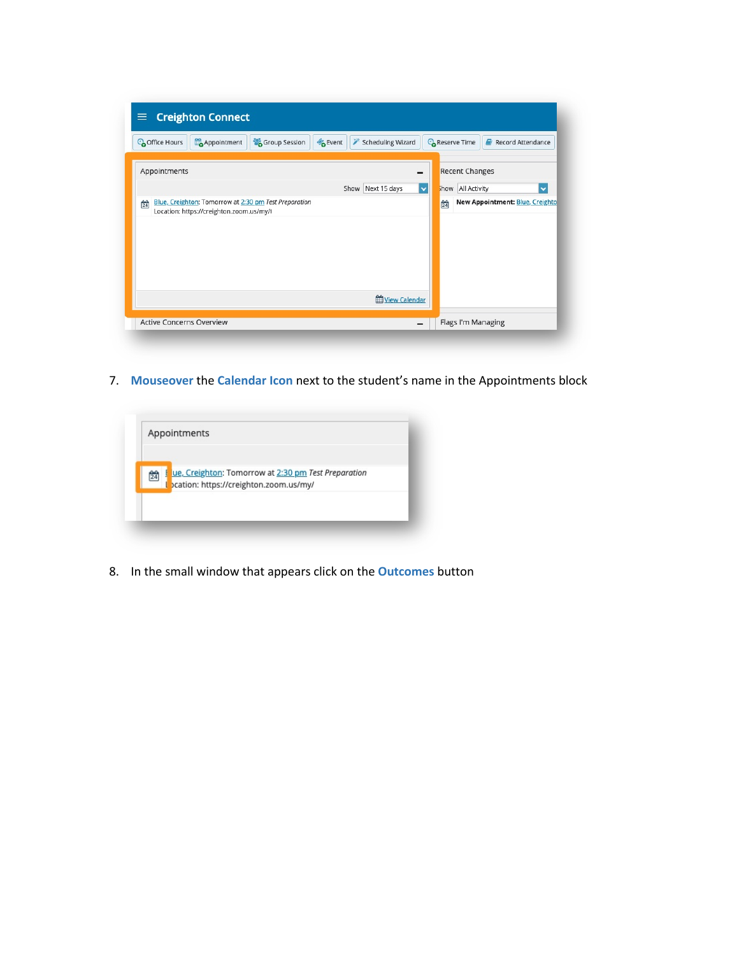| <sup>2</sup> Group Session<br>Appointment<br><sup>C</sup> office Hours | <b>B</b> Event<br>Scheduling Wizard<br><b>C</b> <sub>o</sub> Reserve Time<br>Record Attendance |
|------------------------------------------------------------------------|------------------------------------------------------------------------------------------------|
| Appointments                                                           | <b>Recent Changes</b><br>-                                                                     |
|                                                                        | $\checkmark$<br>Show Next 15 days<br>how All Activity<br>v                                     |
| Location: https://creighton.zoom.us/my/t                               |                                                                                                |

7. **Mouseover** the **Calendar Icon** next to the student's name in the Appointments block



8. In the small window that appears click on the **Outcomes** button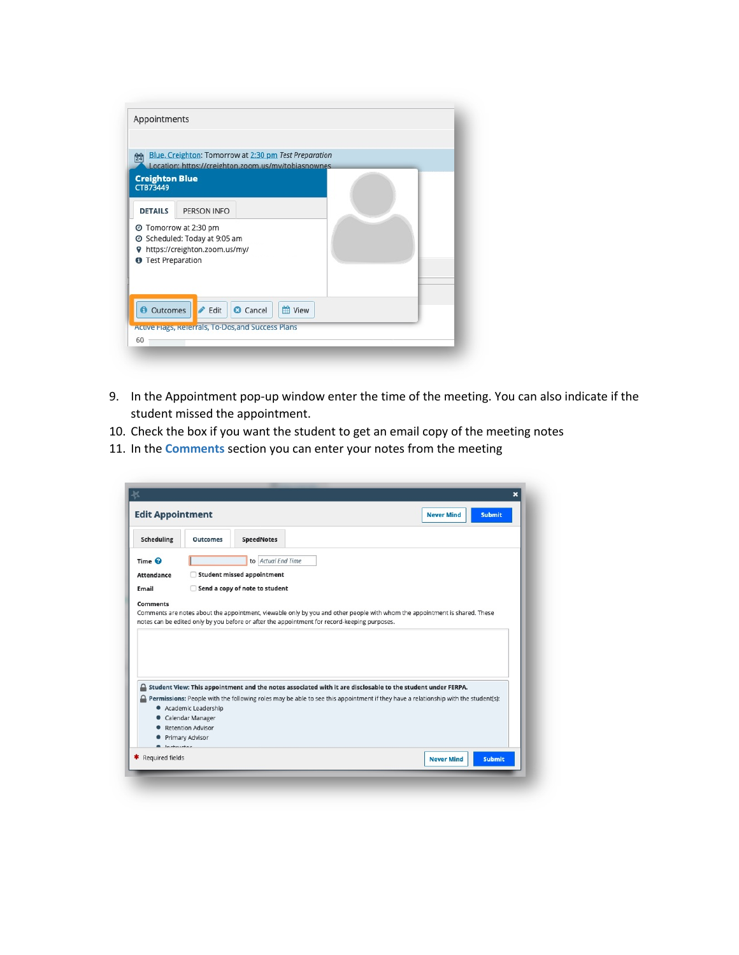| <b>Creighton Blue</b><br>CTB73449 | Location: https://creighton.zoom.us/my/tobiasnownes                                                              |  |  |
|-----------------------------------|------------------------------------------------------------------------------------------------------------------|--|--|
| <b>DETAILS</b>                    | PERSON INFO                                                                                                      |  |  |
|                                   | Tomorrow at 2:30 pm<br>◎ Scheduled: Today at 9:05 am<br>https://creighton.zoom.us/my/<br><b>Test Preparation</b> |  |  |

- 9. In the Appointment pop-up window enter the time of the meeting. You can also indicate if the student missed the appointment.
- 10. Check the box if you want the student to get an email copy of the meeting notes
- 11. In the **Comments** section you can enter your notes from the meeting

| Scheduling           | <b>Outcomes</b>                           | <b>SpeedNotes</b>                                                                                                                                                                                                          |  |  |  |  |
|----------------------|-------------------------------------------|----------------------------------------------------------------------------------------------------------------------------------------------------------------------------------------------------------------------------|--|--|--|--|
| Time <sup>©</sup>    |                                           | to Actual End Time                                                                                                                                                                                                         |  |  |  |  |
| <b>Attendance</b>    | г                                         | <b>Student missed appointment</b>                                                                                                                                                                                          |  |  |  |  |
| Email                | Send a copy of note to student            |                                                                                                                                                                                                                            |  |  |  |  |
|                      |                                           |                                                                                                                                                                                                                            |  |  |  |  |
|                      |                                           | Comments are notes about the appointment, viewable only by you and other people with whom the appointment is shared. These<br>notes can be edited only by you before or after the appointment for record-keeping purposes. |  |  |  |  |
|                      |                                           |                                                                                                                                                                                                                            |  |  |  |  |
|                      |                                           |                                                                                                                                                                                                                            |  |  |  |  |
|                      |                                           |                                                                                                                                                                                                                            |  |  |  |  |
|                      |                                           | Student View: This appointment and the notes associated with it are disclosable to the student under FERPA.                                                                                                                |  |  |  |  |
|                      |                                           | Permissions: People with the following roles may be able to see this appointment if they have a relationship with the student(s):                                                                                          |  |  |  |  |
| <b>Comments</b><br>≏ | • Academic Leadership                     |                                                                                                                                                                                                                            |  |  |  |  |
|                      | • Calendar Manager<br>• Retention Advisor |                                                                                                                                                                                                                            |  |  |  |  |